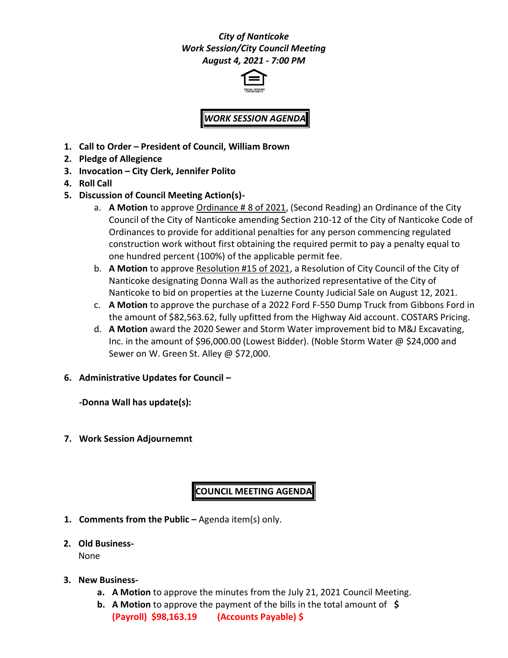## *City of Nanticoke Work Session/City Council Meeting August 4, 2021 - 7:00 PM*



## *WORK SESSION AGENDA*

- **1. Call to Order – President of Council, William Brown**
- **2. Pledge of Allegience**
- **3. Invocation – City Clerk, Jennifer Polito**
- **4. Roll Call**
- **5. Discussion of Council Meeting Action(s)**
	- a. **A Motion** to approve Ordinance # 8 of 2021, (Second Reading) an Ordinance of the City Council of the City of Nanticoke amending Section 210-12 of the City of Nanticoke Code of Ordinances to provide for additional penalties for any person commencing regulated construction work without first obtaining the required permit to pay a penalty equal to one hundred percent (100%) of the applicable permit fee.
	- b. **A Motion** to approve Resolution #15 of 2021, a Resolution of City Council of the City of Nanticoke designating Donna Wall as the authorized representative of the City of Nanticoke to bid on properties at the Luzerne County Judicial Sale on August 12, 2021.
	- c. **A Motion** to approve the purchase of a 2022 Ford F-550 Dump Truck from Gibbons Ford in the amount of \$82,563.62, fully upfitted from the Highway Aid account. COSTARS Pricing.
	- d. **A Motion** award the 2020 Sewer and Storm Water improvement bid to M&J Excavating, Inc. in the amount of \$96,000.00 (Lowest Bidder). (Noble Storm Water @ \$24,000 and Sewer on W. Green St. Alley @ \$72,000.
- **6. Administrative Updates for Council –**

**-Donna Wall has update(s):**

**7. Work Session Adjournemnt**

## **COUNCIL MEETING AGENDA**

- **1. Comments from the Public –** Agenda item(s) only.
- **2. Old Business-**

None

- **3. New Business**
	- **a. A Motion** to approve the minutes from the July 21, 2021 Council Meeting.
	- **b. A Motion** to approve the payment of the bills in the total amount of **\$ (Payroll) \$98,163.19 (Accounts Payable) \$**